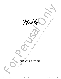

*for String Orchestra*

## JESSICA MEYER

For perusal only. Performance materials must be purchased via www.jessicameyermusic.com. Unauthorized reproduction or distribution is strictly prohibited.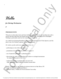*Hello*

## *for String Orchestra*

**5'**

## **PROGRAM NOTE**

**hestra**<br>
Performance materials must be purchased via which you have when you are spending time with a<br>
thy said, but the connection is clearly felt.<br>
We said, but the connection is clearly felt.<br>
tury response to that be **For String Orchestra**<br>
5'<br>
For String Orchestra<br>
5'<br>
PROGRAM NOTE <br>
This place is about the warm and fugry feeding on the wave who were proposed in the value of the state of the strain of the strain of the strain of the This piece is about that warm and fuzzy feeling you have when you are spending time with a person and they shift from just being someone you know to something more meaningful. Nothing is particularly said, but the connection is clearly felt.

As a child I loved playing Pachelbel's Canon both in orchestra and in Viola Quartet, and this piece is my 21st Century response to that beloved classic.

*For students, specific performance skills addressed here are:*

- performing in a key with more sharps
- polyrhythms between different sections (3 against 2)
- use of expressive glissandi as a phrasing device
- discovering the softer colors students can achieve on stringed instruments by using different parts of the bow
- students being able to perform their own part well while others play lots of different rhythms around them

"Hello" is dedicated to my childhood orchestra directors in Bay Shore, NY Carole Lutz-Bischof and Reynard Burns for without them, I would not be the musician I am today.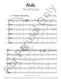*Hello*

*Dedicated to my childhood orchestra directors Carole Lutz-Bischof and Reynard Burns*



For perusal only. Performance materials must be purchased via www.jessicameyermusic.com. Unauthorized reproduction or distribution is strictly prohibited.

3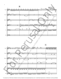

For perusal only. Performance materials must be purchased via www.jessicameyermusic.com. Unauthorized reproduction or distribution is strictly prohibited.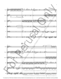

For perusal only. Performance materials must be purchased via www.jessicameyermusic.com. Unauthorized reproduction or distribution is strictly prohibited.

5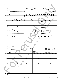

For perusal only. Performance materials must be purchased via www.jessicameyermusic.com. Unauthorized reproduction or distribution is strictly prohibited.